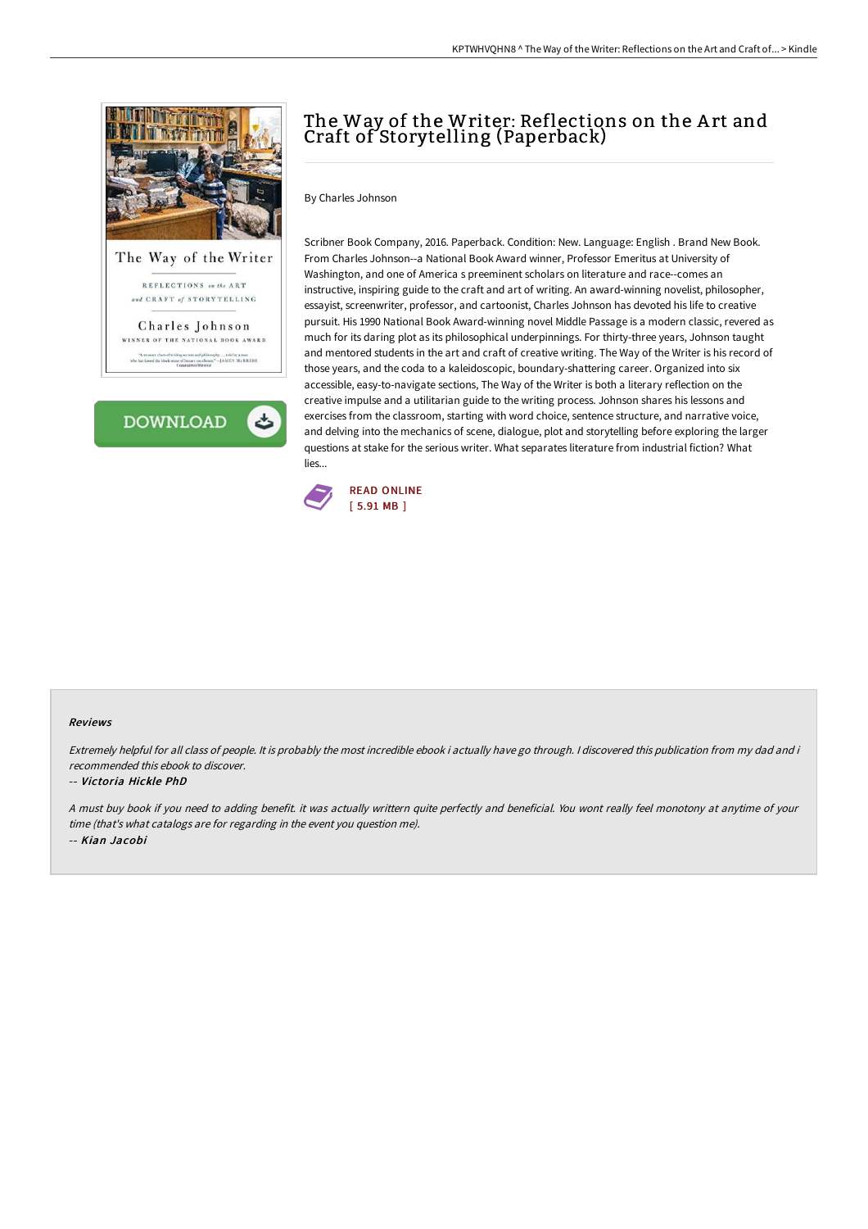

and CRAFT of STORYTELLING

Charles Johnson WINNER OF THE NATIONAL BOOK AWARD ore chest of writing secrets and philosophy....told by a man<br>ed the black stone of literary escollence." --JAMES McBRIDE<br>Copyrighted Material



# The Way of the Writer: Reflections on the Art and Craft of Storytelling (Paperback)

By Charles Johnson

Scribner Book Company, 2016. Paperback. Condition: New. Language: English . Brand New Book. From Charles Johnson--a National Book Award winner, Professor Emeritus at University of Washington, and one of America s preeminent scholars on literature and race--comes an instructive, inspiring guide to the craft and art of writing. An award-winning novelist, philosopher, essayist, screenwriter, professor, and cartoonist, Charles Johnson has devoted his life to creative pursuit. His 1990 National Book Award-winning novel Middle Passage is a modern classic, revered as much for its daring plot as its philosophical underpinnings. For thirty-three years, Johnson taught and mentored students in the art and craft of creative writing. The Way of the Writer is his record of those years, and the coda to a kaleidoscopic, boundary-shattering career. Organized into six accessible, easy-to-navigate sections, The Way of the Writer is both a literary reflection on the creative impulse and a utilitarian guide to the writing process. Johnson shares his lessons and exercises from the classroom, starting with word choice, sentence structure, and narrative voice, and delving into the mechanics of scene, dialogue, plot and storytelling before exploring the larger questions at stake for the serious writer. What separates literature from industrial fiction? What lies...



## Reviews

Extremely helpful for all class of people. It is probably the most incredible ebook i actually have go through. <sup>I</sup> discovered this publication from my dad and i recommended this ebook to discover.

#### -- Victoria Hickle PhD

<sup>A</sup> must buy book if you need to adding benefit. it was actually writtern quite perfectly and beneficial. You wont really feel monotony at anytime of your time (that's what catalogs are for regarding in the event you question me). -- Kian Jacobi